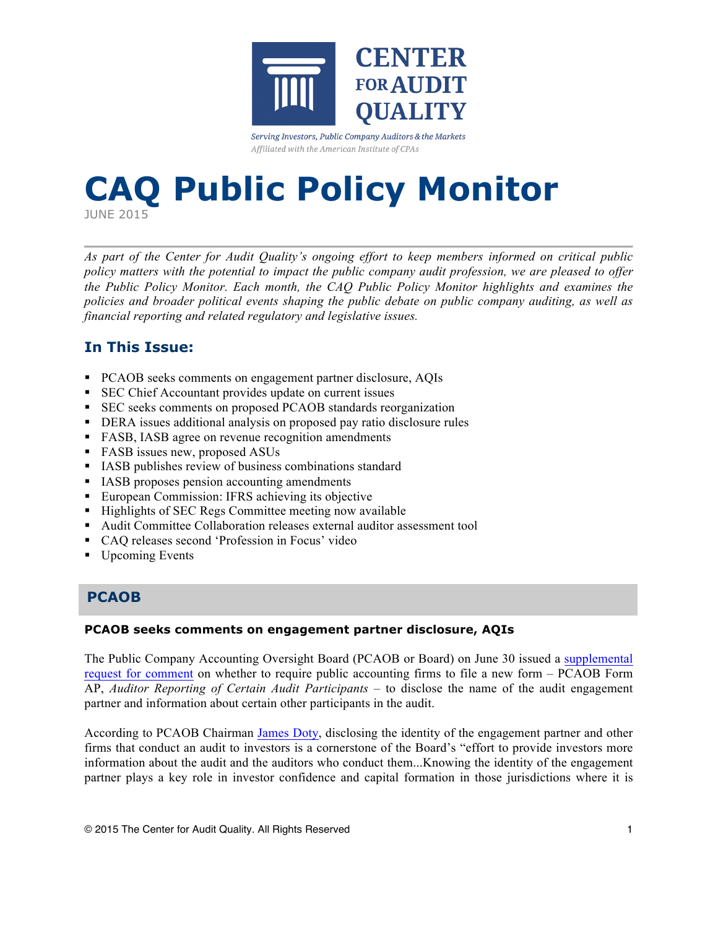

Serving Investors, Public Company Auditors & the Markets Affiliated with the American Institute of CPAs

# **CAQ Public Policy Monitor**

JUNE 2015

*As part of the Center for Audit Quality's ongoing effort to keep members informed on critical public policy matters with the potential to impact the public company audit profession, we are pleased to offer the Public Policy Monitor. Each month, the CAQ Public Policy Monitor highlights and examines the policies and broader political events shaping the public debate on public company auditing, as well as financial reporting and related regulatory and legislative issues.*

# **In This Issue:**

- § PCAOB seeks comments on engagement partner disclosure, AQIs
- SEC Chief Accountant provides update on current issues
- SEC seeks comments on proposed PCAOB standards reorganization
- DERA issues additional analysis on proposed pay ratio disclosure rules
- FASB, IASB agree on revenue recognition amendments
- FASB issues new, proposed ASUs
- IASB publishes review of business combinations standard
- IASB proposes pension accounting amendments
- European Commission: IFRS achieving its objective
- Highlights of SEC Regs Committee meeting now available
- Audit Committee Collaboration releases external auditor assessment tool
- CAQ releases second 'Profession in Focus' video
- Upcoming Events

# **PCAOB**

# **PCAOB seeks comments on engagement partner disclosure, AQIs**

The Public Company Accounting Oversight Board (PCAOB or Board) on June 30 issued a [supplemental](http://pcaobus.org/Rules/Rulemaking/Docket029/Release_2015_004.pdf)  [request for comment](http://pcaobus.org/Rules/Rulemaking/Docket029/Release_2015_004.pdf) on whether to require public accounting firms to file a new form – PCAOB Form AP, *Auditor Reporting of Certain Audit Participants* – to disclose the name of the audit engagement partner and information about certain other participants in the audit.

According to PCAOB Chairman [James Doty](http://www.accountingtoday.com/news/audit-accounting/pcaob-form-disclosing-audit-engagement-partner-audit-quality-indicators-75059-1.html), disclosing the identity of the engagement partner and other firms that conduct an audit to investors is a cornerstone of the Board's "effort to provide investors more information about the audit and the auditors who conduct them...Knowing the identity of the engagement partner plays a key role in investor confidence and capital formation in those jurisdictions where it is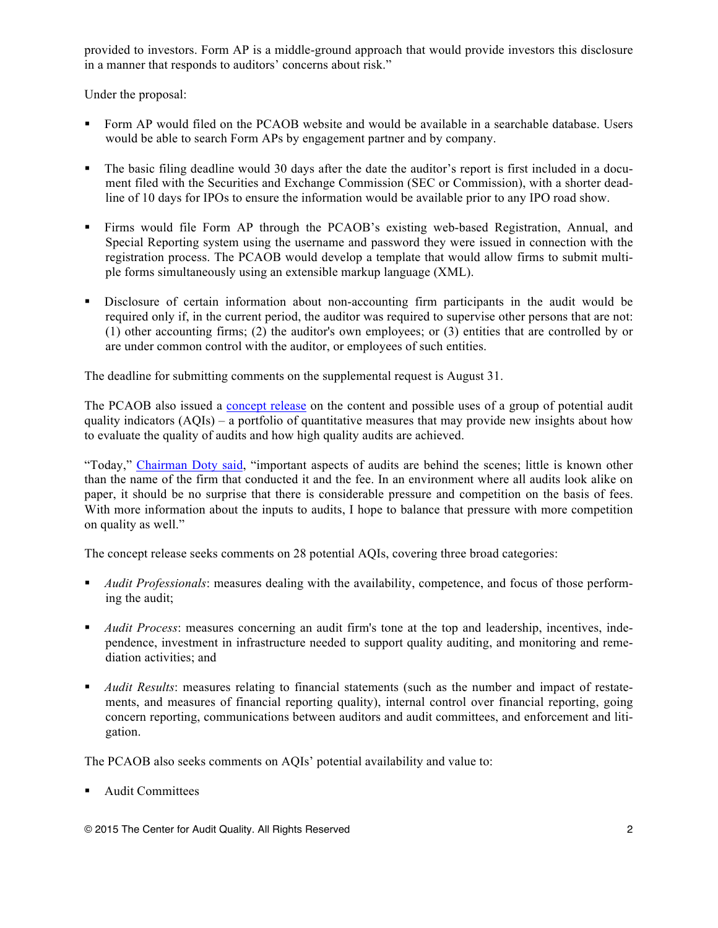provided to investors. Form AP is a middle-ground approach that would provide investors this disclosure in a manner that responds to auditors' concerns about risk."

Under the proposal:

- Form AP would filed on the PCAOB website and would be available in a searchable database. Users would be able to search Form APs by engagement partner and by company.
- The basic filing deadline would 30 days after the date the auditor's report is first included in a document filed with the Securities and Exchange Commission (SEC or Commission), with a shorter deadline of 10 days for IPOs to ensure the information would be available prior to any IPO road show.
- Firms would file Form AP through the PCAOB's existing web-based Registration, Annual, and Special Reporting system using the username and password they were issued in connection with the registration process. The PCAOB would develop a template that would allow firms to submit multiple forms simultaneously using an extensible markup language (XML).
- § Disclosure of certain information about non-accounting firm participants in the audit would be required only if, in the current period, the auditor was required to supervise other persons that are not: (1) other accounting firms; (2) the auditor's own employees; or (3) entities that are controlled by or are under common control with the auditor, or employees of such entities.

The deadline for submitting comments on the supplemental request is August 31.

The PCAOB also issued a [concept release](http://pcaobus.org/Rules/Rulemaking/Docket%20041/Release_2015_005.pdf) on the content and possible uses of a group of potential audit quality indicators  $(AOIs) - a$  portfolio of quantitative measures that may provide new insights about how to evaluate the quality of audits and how high quality audits are achieved.

"Today," [Chairman Doty said](http://pcaobus.org/News/Speech/Pages/06302015_Doty_AQI.aspx), "important aspects of audits are behind the scenes; little is known other than the name of the firm that conducted it and the fee. In an environment where all audits look alike on paper, it should be no surprise that there is considerable pressure and competition on the basis of fees. With more information about the inputs to audits, I hope to balance that pressure with more competition on quality as well."

The concept release seeks comments on 28 potential AQIs, covering three broad categories:

- § *Audit Professionals*: measures dealing with the availability, competence, and focus of those performing the audit;
- § *Audit Process*: measures concerning an audit firm's tone at the top and leadership, incentives, independence, investment in infrastructure needed to support quality auditing, and monitoring and remediation activities; and
- § *Audit Results*: measures relating to financial statements (such as the number and impact of restatements, and measures of financial reporting quality), internal control over financial reporting, going concern reporting, communications between auditors and audit committees, and enforcement and litigation.

The PCAOB also seeks comments on AQIs' potential availability and value to:

§ Audit Committees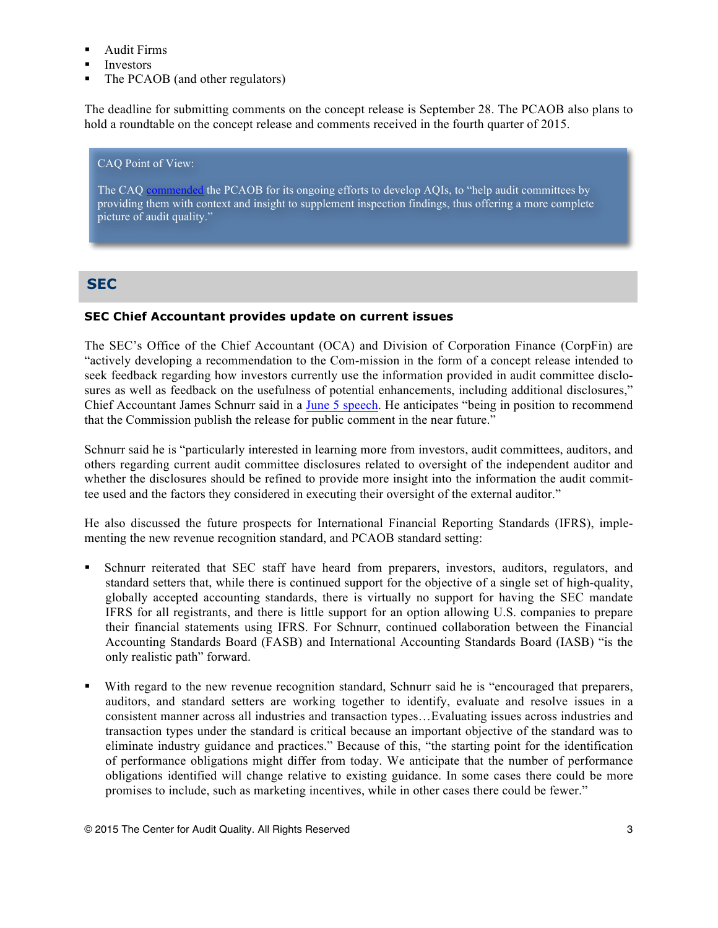- Audit Firms
- Investors
- The PCAOB (and other regulators)

The deadline for submitting comments on the concept release is September 28. The PCAOB also plans to hold a roundtable on the concept release and comments received in the fourth quarter of 2015.

#### CAQ Point of View:

The CAQ [commended](http://www.thecaq.org/newsroom/2015/06/30/caq-responds-to-pcaob-concept-release-on-audit-quality-indicators) the PCAOB for its ongoing efforts to develop AQIs, to "help audit committees by providing them with context and insight to supplement inspection findings, thus offering a more complete picture of audit quality."

# **SEC**

# **SEC Chief Accountant provides update on current issues**

The SEC's Office of the Chief Accountant (OCA) and Division of Corporation Finance (CorpFin) are "actively developing a recommendation to the Com-mission in the form of a concept release intended to seek feedback regarding how investors currently use the information provided in audit committee disclosures as well as feedback on the usefulness of potential enhancements, including additional disclosures," Chief Accountant James Schnurr said in a [June 5 speech](http://www.sec.gov/news/speech/remarks-34th-sec-financial-reporting-institute-conference.html). He anticipates "being in position to recommend that the Commission publish the release for public comment in the near future."

Schnurr said he is "particularly interested in learning more from investors, audit committees, auditors, and others regarding current audit committee disclosures related to oversight of the independent auditor and whether the disclosures should be refined to provide more insight into the information the audit committee used and the factors they considered in executing their oversight of the external auditor."

He also discussed the future prospects for International Financial Reporting Standards (IFRS), implementing the new revenue recognition standard, and PCAOB standard setting:

- § Schnurr reiterated that SEC staff have heard from preparers, investors, auditors, regulators, and standard setters that, while there is continued support for the objective of a single set of high-quality, globally accepted accounting standards, there is virtually no support for having the SEC mandate IFRS for all registrants, and there is little support for an option allowing U.S. companies to prepare their financial statements using IFRS. For Schnurr, continued collaboration between the Financial Accounting Standards Board (FASB) and International Accounting Standards Board (IASB) "is the only realistic path" forward.
- With regard to the new revenue recognition standard, Schnurr said he is "encouraged that preparers, auditors, and standard setters are working together to identify, evaluate and resolve issues in a consistent manner across all industries and transaction types…Evaluating issues across industries and transaction types under the standard is critical because an important objective of the standard was to eliminate industry guidance and practices." Because of this, "the starting point for the identification of performance obligations might differ from today. We anticipate that the number of performance obligations identified will change relative to existing guidance. In some cases there could be more promises to include, such as marketing incentives, while in other cases there could be fewer."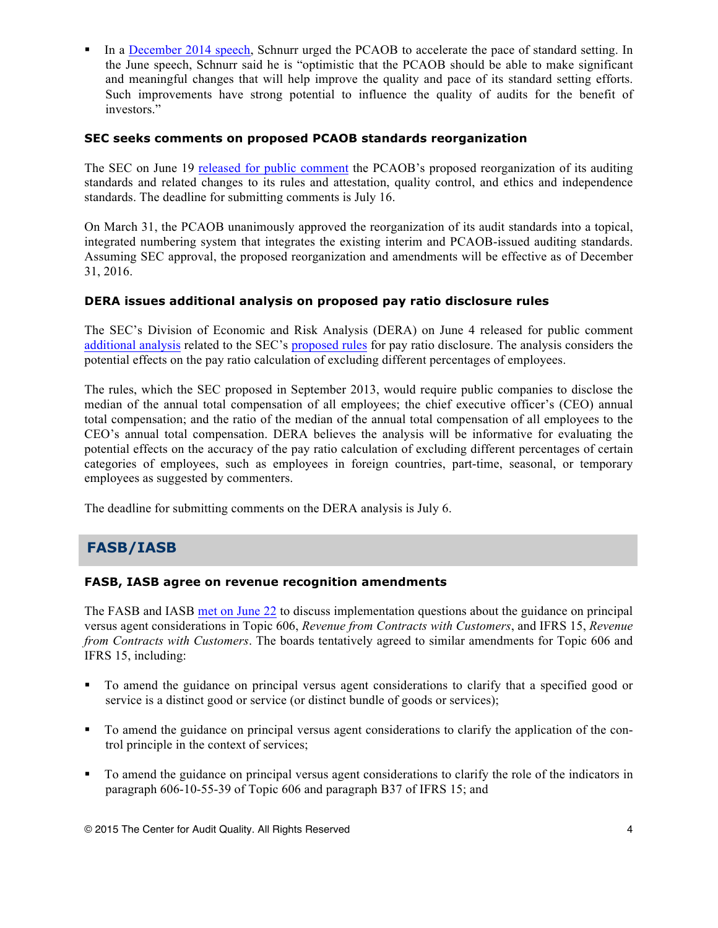In a [December 2014 speech,](http://www.sec.gov/News/Speech/Detail/Speech/1370543609306) Schnurr urged the PCAOB to accelerate the pace of standard setting. In the June speech, Schnurr said he is "optimistic that the PCAOB should be able to make significant and meaningful changes that will help improve the quality and pace of its standard setting efforts. Such improvements have strong potential to influence the quality of audits for the benefit of investors."

# **SEC seeks comments on proposed PCAOB standards reorganization**

The SEC on June 19 [released for public comment](http://www.sec.gov/rules/pcaob/2015/34-75251.pdf) the PCAOB's proposed reorganization of its auditing standards and related changes to its rules and attestation, quality control, and ethics and independence standards. The deadline for submitting comments is July 16.

On March 31, the PCAOB unanimously approved the reorganization of its audit standards into a topical, integrated numbering system that integrates the existing interim and PCAOB-issued auditing standards. Assuming SEC approval, the proposed reorganization and amendments will be effective as of December 31, 2016.

# **DERA issues additional analysis on proposed pay ratio disclosure rules**

The SEC's Division of Economic and Risk Analysis (DERA) on June 4 released for public comment [additional analysis](http://www.sec.gov/comments/s7-07-13/s70713-1556.pdf) related to the SEC's [proposed rules](http://www.sec.gov/rules/proposed/2013/33-9452.pdf) for pay ratio disclosure. The analysis considers the potential effects on the pay ratio calculation of excluding different percentages of employees.

The rules, which the SEC proposed in September 2013, would require public companies to disclose the median of the annual total compensation of all employees; the chief executive officer's (CEO) annual total compensation; and the ratio of the median of the annual total compensation of all employees to the CEO's annual total compensation. DERA believes the analysis will be informative for evaluating the potential effects on the accuracy of the pay ratio calculation of excluding different percentages of certain categories of employees, such as employees in foreign countries, part-time, seasonal, or temporary employees as suggested by commenters.

The deadline for submitting comments on the DERA analysis is July 6.

# **FASB/IASB**

## **FASB, IASB agree on revenue recognition amendments**

The FASB and IASB [met on June 22](http://www.fasb.org/cs/ContentServer?c=FASBContent_C&pagename=FASB%2FFASBContent_C%2FActionAlertPage&cid=1176166135278) to discuss implementation questions about the guidance on principal versus agent considerations in Topic 606, *Revenue from Contracts with Customers*, and IFRS 15, *Revenue from Contracts with Customers*. The boards tentatively agreed to similar amendments for Topic 606 and IFRS 15, including:

- § To amend the guidance on principal versus agent considerations to clarify that a specified good or service is a distinct good or service (or distinct bundle of goods or services);
- § To amend the guidance on principal versus agent considerations to clarify the application of the control principle in the context of services;
- § To amend the guidance on principal versus agent considerations to clarify the role of the indicators in paragraph 606-10-55-39 of Topic 606 and paragraph B37 of IFRS 15; and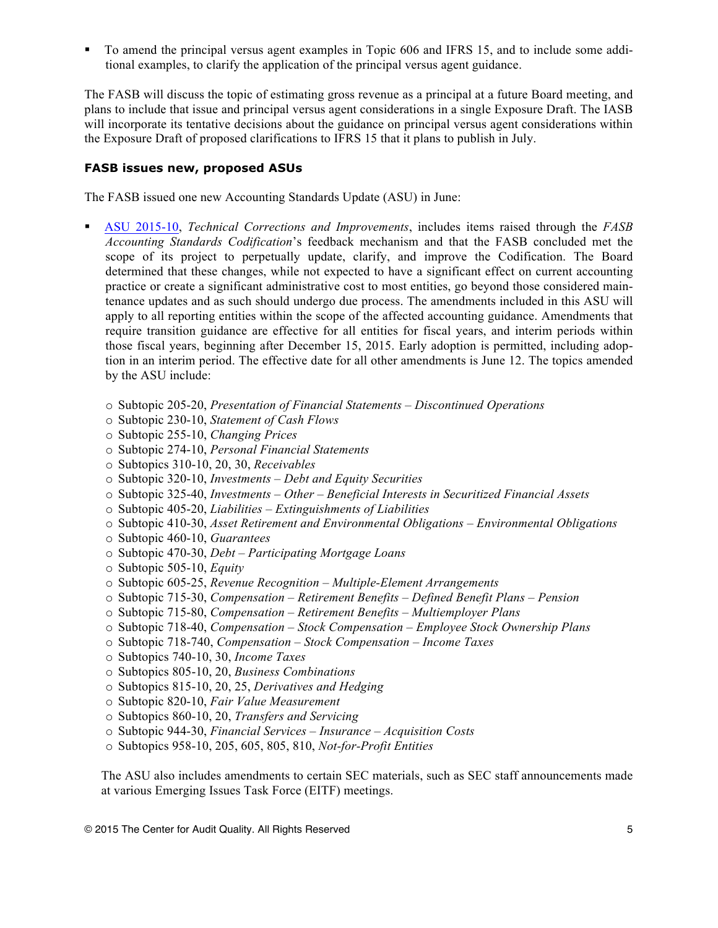§ To amend the principal versus agent examples in Topic 606 and IFRS 15, and to include some additional examples, to clarify the application of the principal versus agent guidance.

The FASB will discuss the topic of estimating gross revenue as a principal at a future Board meeting, and plans to include that issue and principal versus agent considerations in a single Exposure Draft. The IASB will incorporate its tentative decisions about the guidance on principal versus agent considerations within the Exposure Draft of proposed clarifications to IFRS 15 that it plans to publish in July.

# **FASB issues new, proposed ASUs**

The FASB issued one new Accounting Standards Update (ASU) in June:

- § [ASU 2015-10](http://www.fasb.org/jsp/FASB/Document_C/DocumentPage?cid=1176166123481&acceptedDisclaimer=true), *Technical Corrections and Improvements*, includes items raised through the *FASB Accounting Standards Codification*'s feedback mechanism and that the FASB concluded met the scope of its project to perpetually update, clarify, and improve the Codification. The Board determined that these changes, while not expected to have a significant effect on current accounting practice or create a significant administrative cost to most entities, go beyond those considered maintenance updates and as such should undergo due process. The amendments included in this ASU will apply to all reporting entities within the scope of the affected accounting guidance. Amendments that require transition guidance are effective for all entities for fiscal years, and interim periods within those fiscal years, beginning after December 15, 2015. Early adoption is permitted, including adoption in an interim period. The effective date for all other amendments is June 12. The topics amended by the ASU include:
	- o Subtopic 205-20, *Presentation of Financial Statements – Discontinued Operations*
	- o Subtopic 230-10, *Statement of Cash Flows*
	- o Subtopic 255-10, *Changing Prices*
	- o Subtopic 274-10, *Personal Financial Statements*
	- o Subtopics 310-10, 20, 30, *Receivables*
	- o Subtopic 320-10, *Investments – Debt and Equity Securities*
	- o Subtopic 325-40, *Investments – Other – Beneficial Interests in Securitized Financial Assets*
	- o Subtopic 405-20, *Liabilities – Extinguishments of Liabilities*
	- o Subtopic 410-30, *Asset Retirement and Environmental Obligations – Environmental Obligations*
	- o Subtopic 460-10, *Guarantees*
	- o Subtopic 470-30, *Debt – Participating Mortgage Loans*
	- o Subtopic 505-10, *Equity*
	- o Subtopic 605-25, *Revenue Recognition – Multiple-Element Arrangements*
	- o Subtopic 715-30, *Compensation – Retirement Benefits – Defined Benefit Plans – Pension*
	- o Subtopic 715-80, *Compensation – Retirement Benefits – Multiemployer Plans*
	- o Subtopic 718-40, *Compensation – Stock Compensation – Employee Stock Ownership Plans*
	- o Subtopic 718-740, *Compensation – Stock Compensation – Income Taxes*
	- o Subtopics 740-10, 30, *Income Taxes*
	- o Subtopics 805-10, 20, *Business Combinations*
	- o Subtopics 815-10, 20, 25, *Derivatives and Hedging*
	- o Subtopic 820-10, *Fair Value Measurement*
	- o Subtopics 860-10, 20, *Transfers and Servicing*
	- o Subtopic 944-30, *Financial Services – Insurance – Acquisition Costs*
	- o Subtopics 958-10, 205, 605, 805, 810, *Not-for-Profit Entities*

The ASU also includes amendments to certain SEC materials, such as SEC staff announcements made at various Emerging Issues Task Force (EITF) meetings.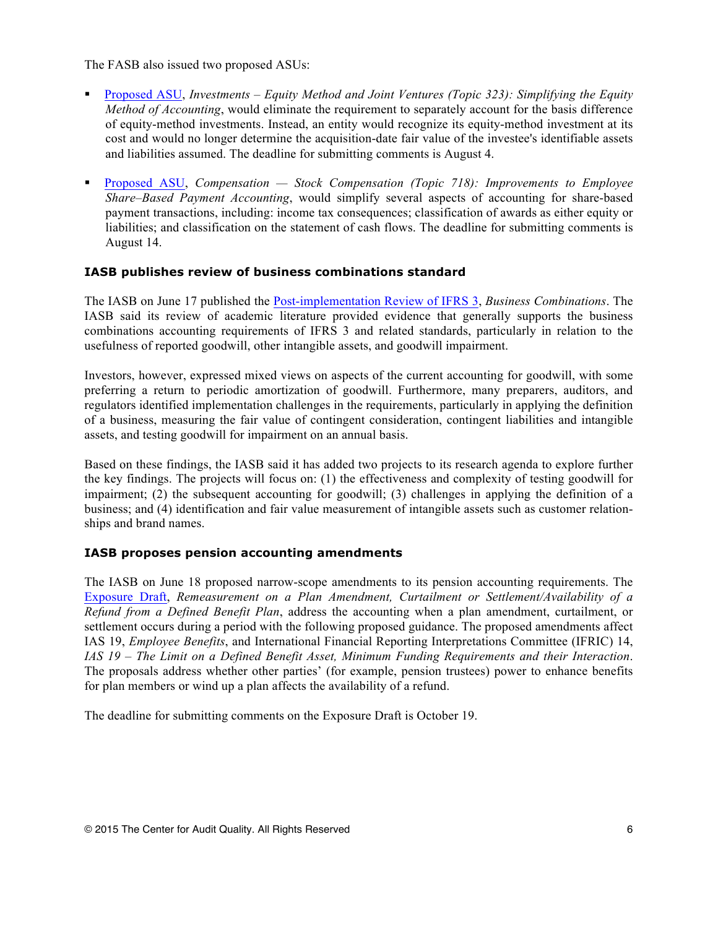The FASB also issued two proposed ASUs:

- [Proposed ASU](http://www.fasb.org/jsp/FASB/Document_C/DocumentPage?cid=1176166104088&acceptedDisclaimer=true), *Investments Equity Method and Joint Ventures (Topic 323): Simplifying the Equity Method of Accounting*, would eliminate the requirement to separately account for the basis difference of equity-method investments. Instead, an entity would recognize its equity-method investment at its cost and would no longer determine the acquisition-date fair value of the investee's identifiable assets and liabilities assumed. The deadline for submitting comments is August 4.
- § [Proposed ASU](http://www.fasb.org/jsp/FASB/Document_C/DocumentPage?cid=1176166112176&acceptedDisclaimer=true), *Compensation — Stock Compensation (Topic 718): Improvements to Employee Share–Based Payment Accounting*, would simplify several aspects of accounting for share-based payment transactions, including: income tax consequences; classification of awards as either equity or liabilities; and classification on the statement of cash flows. The deadline for submitting comments is August 14.

## **IASB publishes review of business combinations standard**

The IASB on June 17 published the [Post-implementation Review of IFRS 3](http://www.ifrs.org/Current-Projects/IASB-Projects/PIR/PIR-IFRS-3/Pages/PIR-IFRS-3.aspx), *Business Combinations*. The IASB said its review of academic literature provided evidence that generally supports the business combinations accounting requirements of IFRS 3 and related standards, particularly in relation to the usefulness of reported goodwill, other intangible assets, and goodwill impairment.

Investors, however, expressed mixed views on aspects of the current accounting for goodwill, with some preferring a return to periodic amortization of goodwill. Furthermore, many preparers, auditors, and regulators identified implementation challenges in the requirements, particularly in applying the definition of a business, measuring the fair value of contingent consideration, contingent liabilities and intangible assets, and testing goodwill for impairment on an annual basis.

Based on these findings, the IASB said it has added two projects to its research agenda to explore further the key findings. The projects will focus on: (1) the effectiveness and complexity of testing goodwill for impairment; (2) the subsequent accounting for goodwill; (3) challenges in applying the definition of a business; and (4) identification and fair value measurement of intangible assets such as customer relationships and brand names.

## **IASB proposes pension accounting amendments**

The IASB on June 18 proposed narrow-scope amendments to its pension accounting requirements. The [Exposure Draft,](http://www.ifrs.org/Current-Projects/IASB-Projects/IAS-19-Remeasurement-amendment-curtailment/Pages/IAS-19-IFRIC-14-Exposure-Draft-and-Comment-Letters.aspx) *Remeasurement on a Plan Amendment, Curtailment or Settlement/Availability of a Refund from a Defined Benefit Plan*, address the accounting when a plan amendment, curtailment, or settlement occurs during a period with the following proposed guidance. The proposed amendments affect IAS 19, *Employee Benefits*, and International Financial Reporting Interpretations Committee (IFRIC) 14, *IAS 19* – *The Limit on a Defined Benefit Asset, Minimum Funding Requirements and their Interaction*. The proposals address whether other parties' (for example, pension trustees) power to enhance benefits for plan members or wind up a plan affects the availability of a refund.

The deadline for submitting comments on the Exposure Draft is October 19.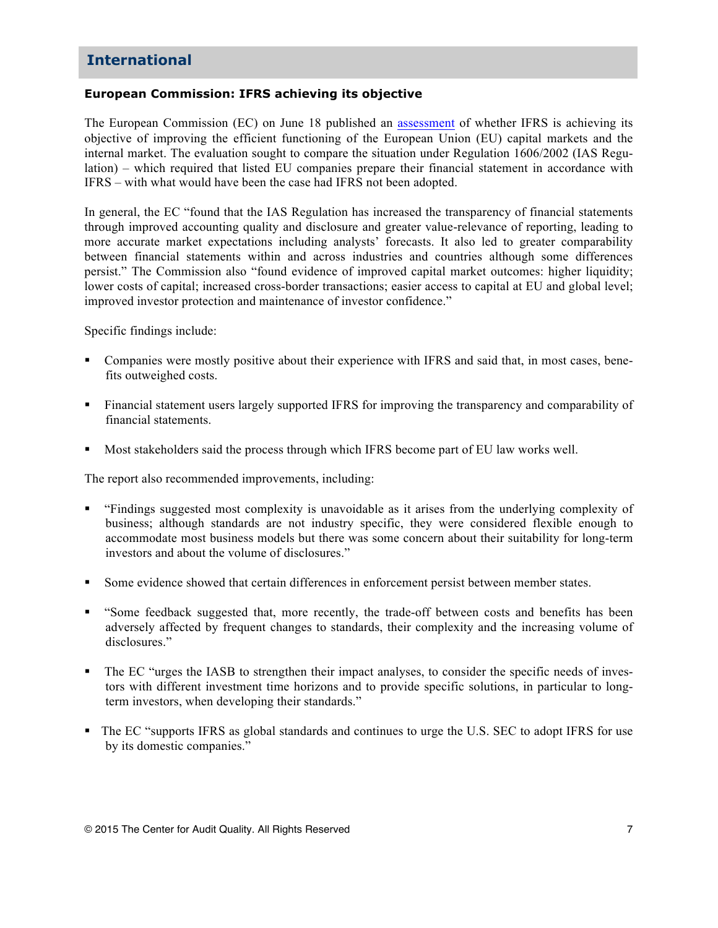# **International**

# **European Commission: IFRS achieving its objective**

The European Commission (EC) on June 18 published an [assessment](http://ec.europa.eu/finance/accounting/docs/ias-evaluation/20150618-report_en.pdf) of whether IFRS is achieving its objective of improving the efficient functioning of the European Union (EU) capital markets and the internal market. The evaluation sought to compare the situation under Regulation 1606/2002 (IAS Regulation) – which required that listed EU companies prepare their financial statement in accordance with IFRS – with what would have been the case had IFRS not been adopted.

In general, the EC "found that the IAS Regulation has increased the transparency of financial statements through improved accounting quality and disclosure and greater value-relevance of reporting, leading to more accurate market expectations including analysts' forecasts. It also led to greater comparability between financial statements within and across industries and countries although some differences persist." The Commission also "found evidence of improved capital market outcomes: higher liquidity; lower costs of capital; increased cross-border transactions; easier access to capital at EU and global level; improved investor protection and maintenance of investor confidence."

Specific findings include:

- Companies were mostly positive about their experience with IFRS and said that, in most cases, benefits outweighed costs.
- Financial statement users largely supported IFRS for improving the transparency and comparability of financial statements.
- § Most stakeholders said the process through which IFRS become part of EU law works well.

The report also recommended improvements, including:

- § "Findings suggested most complexity is unavoidable as it arises from the underlying complexity of business; although standards are not industry specific, they were considered flexible enough to accommodate most business models but there was some concern about their suitability for long-term investors and about the volume of disclosures."
- Some evidence showed that certain differences in enforcement persist between member states.
- § "Some feedback suggested that, more recently, the trade-off between costs and benefits has been adversely affected by frequent changes to standards, their complexity and the increasing volume of disclosures."
- The EC "urges the IASB to strengthen their impact analyses, to consider the specific needs of investors with different investment time horizons and to provide specific solutions, in particular to longterm investors, when developing their standards."
- The EC "supports IFRS as global standards and continues to urge the U.S. SEC to adopt IFRS for use by its domestic companies."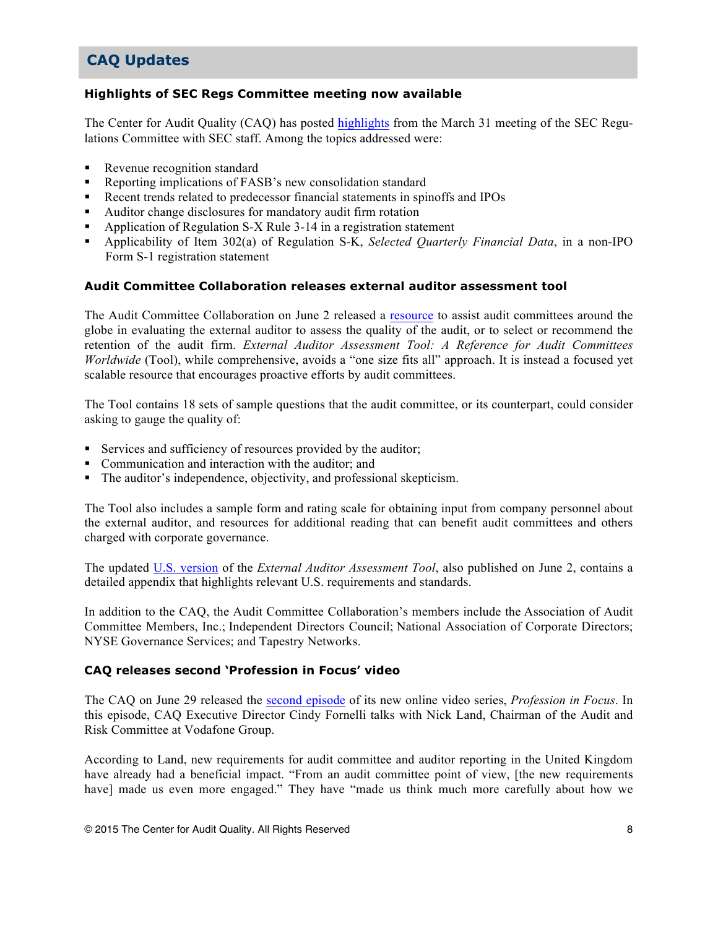# **CAQ Updates**

## **Highlights of SEC Regs Committee meeting now available**

The Center for Audit Quality (CAQ) has posted [highlights](http://www.thecaq.org/docs/default-source/sec-regulation-committee-hightlights/sec-regulations-committee-highlights-march-31-2015.pdf?sfvrsn=0) from the March 31 meeting of the SEC Regulations Committee with SEC staff. Among the topics addressed were:

- Revenue recognition standard
- Reporting implications of FASB's new consolidation standard
- § Recent trends related to predecessor financial statements in spinoffs and IPOs
- § Auditor change disclosures for mandatory audit firm rotation
- § Application of Regulation S-X Rule 3-14 in a registration statement
- § Applicability of Item 302(a) of Regulation S-K, *Selected Quarterly Financial Data*, in a non-IPO Form S-1 registration statement

## **Audit Committee Collaboration releases external auditor assessment tool**

The Audit Committee Collaboration on June 2 released a [resource](http://auditcommitteecollaboration.org/auditor_assessment_tool_worldwide.pdf) to assist audit committees around the globe in evaluating the external auditor to assess the quality of the audit, or to select or recommend the retention of the audit firm. *External Auditor Assessment Tool: A Reference for Audit Committees Worldwide* (Tool), while comprehensive, avoids a "one size fits all" approach. It is instead a focused yet scalable resource that encourages proactive efforts by audit committees.

The Tool contains 18 sets of sample questions that the audit committee, or its counterpart, could consider asking to gauge the quality of:

- § Services and sufficiency of resources provided by the auditor;
- Communication and interaction with the auditor; and
- The auditor's independence, objectivity, and professional skepticism.

The Tool also includes a sample form and rating scale for obtaining input from company personnel about the external auditor, and resources for additional reading that can benefit audit committees and others charged with corporate governance.

The updated [U.S. version](http://auditcommitteecollaboration.org/auditor_assessment_tool_us.pdf) of the *External Auditor Assessment Tool*, also published on June 2, contains a detailed appendix that highlights relevant U.S. requirements and standards.

In addition to the CAQ, the Audit Committee Collaboration's members include the Association of Audit Committee Members, Inc.; Independent Directors Council; National Association of Corporate Directors; NYSE Governance Services; and Tapestry Networks.

## **CAQ releases second 'Profession in Focus' video**

The CAQ on June 29 released the [second episode](https://www.youtube.com/watch?v=m8NEi_uC5YY&feature=youtu.be) of its new online video series, *Profession in Focus*. In this episode, CAQ Executive Director Cindy Fornelli talks with Nick Land, Chairman of the Audit and Risk Committee at Vodafone Group.

According to Land, new requirements for audit committee and auditor reporting in the United Kingdom have already had a beneficial impact. "From an audit committee point of view, [the new requirements have] made us even more engaged." They have "made us think much more carefully about how we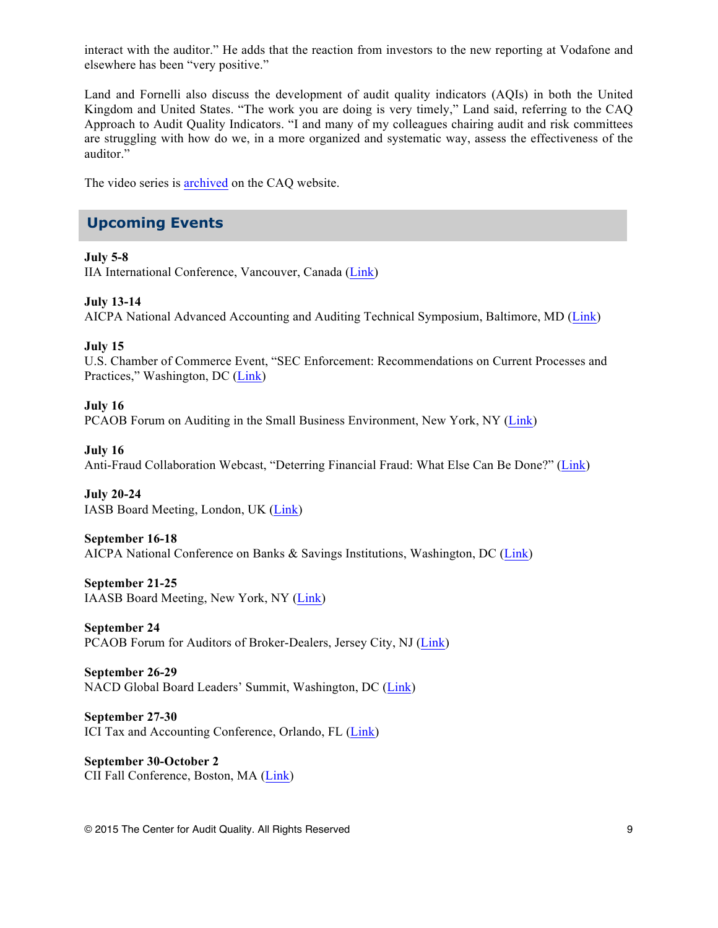interact with the auditor." He adds that the reaction from investors to the new reporting at Vodafone and elsewhere has been "very positive."

Land and Fornelli also discuss the development of audit quality indicators (AQIs) in both the United Kingdom and United States. "The work you are doing is very timely," Land said, referring to the CAQ Approach to Audit Quality Indicators. "I and many of my colleagues chairing audit and risk committees are struggling with how do we, in a more organized and systematic way, assess the effectiveness of the auditor."

The video series is [archived](http://www.thecaq.org/resources/video-library/profession-in-focus) on the CAQ website.

# **Upcoming Events**

# **July 5-8**

IIA International Conference, Vancouver, Canada [\(Link](https://ic.globaliia.org/))

**July 13-14**

AICPA National Advanced Accounting and Auditing Technical Symposium, Baltimore, MD [\(Link\)](http://www.cpa2biz.com/AST/Main/CPA2BIZ_Primary/AuditAttest/PRDOVR~PC-NAA/PC-NAA.jsp)

## **July 15**

U.S. Chamber of Commerce Event, "SEC Enforcement: Recommendations on Current Processes and Practices," Washington, DC [\(Link](https://www.uschamber.com/event/sec-enforcement-recommendations-current-processes-and-practices))

# **July 16**

PCAOB Forum on Auditing in the Small Business Environment, New York, NY ([Link](http://pcaobus.org/News/Events/Pages/SBF_NewYork.aspx))

#### **July 16**

Anti-Fraud Collaboration Webcast, "Deterring Financial Fraud: What Else Can Be Done?" [\(Link\)](https://event.on24.com/eventRegistration/EventLobbyServlet?target=registration.jsp&eventid=1005603&sessionid=1&key=3AA4DBB737EA81ADFE17A72835A5AF70&sourcepage=register)

**July 20-24** IASB Board Meeting, London, UK [\(Link\)](http://www.ifrs.org/Meetings/Pages/IASB-Meeting-July-2015.aspx)

## **September 16-18**

AICPA National Conference on Banks & Savings Institutions, Washington, DC [\(Link\)](http://www.cpa2biz.com/AST/Main/CPA2BIZ_Primary/AuditAttest/PRDOVR~PC-BANK/PC-BANK.jsp)

# **September 21-25**

IAASB Board Meeting, New York, NY [\(Link\)](http://www.ifac.org/auditing-assurance/meetings/new-york-usa-10)

**September 24** PCAOB Forum for Auditors of Broker-Dealers, Jersey City, NJ [\(Link\)](http://pcaobus.org/News/Events/Pages/BDF_JerseyCity.aspx)

#### **September 26-29** NACD Global Board Leaders' Summit, Washington, DC [\(Link\)](http://www.nacdonline.org/Conference/content.cfm?ItemNumber=4755)

**September 27-30** ICI Tax and Accounting Conference, Orlando, FL ([Link\)](http://www.ici.org/events/upcoming/conf_15_tac)

**September 30-October 2** CII Fall Conference, Boston, MA [\(Link](http://www.cii.org/calendar_day.asp?date=9/30/2015))

© 2015 The Center for Audit Quality. All Rights Reserved 9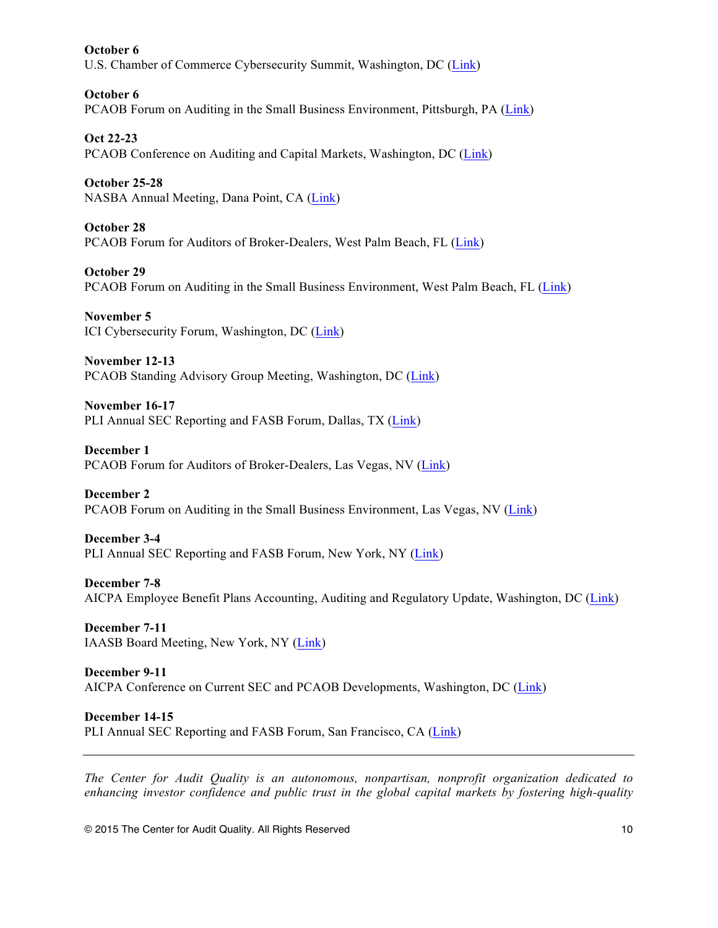**October 6** U.S. Chamber of Commerce Cybersecurity Summit, Washington, DC ([Link\)](https://www.uschamber.com/event/fourth-annual-cybersecurity-summit)

**October 6** PCAOB Forum on Auditing in the Small Business Environment, Pittsburgh, PA ([Link\)](http://pcaobus.org/News/Events/Pages/SBF_Pittsburgh.aspx)

**Oct 22-23** PCAOB Conference on Auditing and Capital Markets, Washington, DC [\(Link\)](http://pcaobus.org/News/Events/Pages/2015_CEA_Conference.aspx)

**October 25-28** NASBA Annual Meeting, Dana Point, CA [\(Link\)](http://nasba.org/blog/2011/01/26/2015annualmeeting/)

**October 28** PCAOB Forum for Auditors of Broker-Dealers, West Palm Beach, FL ([Link\)](http://pcaobus.org/News/Events/Pages/BDF_WestPalmBeach.aspx)

**October 29** PCAOB Forum on Auditing in the Small Business Environment, West Palm Beach, FL ([Link\)](http://pcaobus.org/News/Events/Pages/SBF_WestPalmBeach.aspx)

**November 5** ICI Cybersecurity Forum, Washington, DC [\(Link\)](http://www.ici.org/events/upcoming/conf_15_ici_cybersecurity)

**November 12-13** PCAOB Standing Advisory Group Meeting, Washington, DC [\(Link\)](http://pcaobus.org/News/Events/Pages/Nov_2015_SAG.aspx)

**November 16-17** PLI Annual SEC Reporting and FASB Forum, Dallas, TX [\(Link\)](http://www.pli.edu/Content/31st_Annual_SEC_Reporting_FASB_Forum/_/N-1z12899Z4k?ID=231658)

**December 1** PCAOB Forum for Auditors of Broker-Dealers, Las Vegas, NV ([Link](http://pcaobus.org/News/Events/Pages/BDF_LasVegas.aspx))

**December 2** PCAOB Forum on Auditing in the Small Business Environment, Las Vegas, NV ([Link](http://pcaobus.org/News/Events/Pages/SBF_LasVegas.aspx))

**December 3-4** PLI Annual SEC Reporting and FASB Forum, New York, NY [\(Link\)](http://www.pli.edu/Content/31st_Annual_SEC_Reporting_FASB_Forum/_/N-1z12899Z4k?ID=231658)

**December 7-8** AICPA Employee Benefit Plans Accounting, Auditing and Regulatory Update, Washington, DC [\(Link](http://www.cpa2biz.com/AST/Main/CPA2BIZ_Primary/EmployeeBenefitPlans/PRDOVR~PC-AAR/PC-AAR.jsp))

**December 7-11** IAASB Board Meeting, New York, NY [\(Link\)](http://www.ifac.org/auditing-assurance/meetings/new-york-usa-11)

**December 9-11** AICPA Conference on Current SEC and PCAOB Developments, Washington, DC [\(Link\)](http://www.cpa2biz.com/AST/Main/CPA2BIZ_Primary/InternationalAccounting/PRDOVR~PC-SEC/PC-SEC.jsp)

**December 14-15** PLI Annual SEC Reporting and FASB Forum, San Francisco, CA [\(Link\)](http://www.pli.edu/Content/31st_Annual_SEC_Reporting_FASB_Forum/_/N-1z12899Z4k?ID=231658)

*The Center for Audit Quality is an autonomous, nonpartisan, nonprofit organization dedicated to enhancing investor confidence and public trust in the global capital markets by fostering high-quality* 

© 2015 The Center for Audit Quality. All Rights Reserved 10